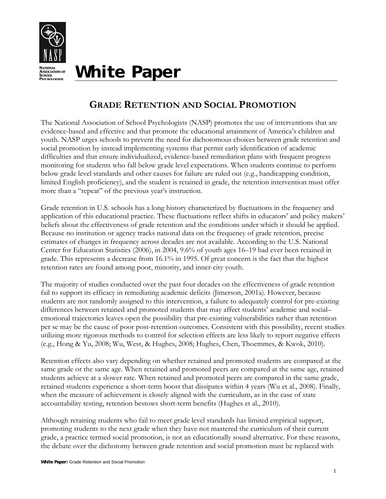

**White Paper** 

# **GRADE RETENTION AND SOCIAL PROMOTION**

The National Association of School Psychologists (NASP) promotes the use of interventions that are evidence-based and effective and that promote the educational attainment of America's children and youth. NASP urges schools to prevent the need for dichotomous choices between grade retention and social promotion by instead implementing systems that permit early identification of academic difficulties and that ensure individualized, evidence-based remediation plans with frequent progress monitoring for students who fall below grade level expectations. When students continue to perform below grade level standards and other causes for failure are ruled out (e.g., handicapping condition, limited English proficiency), and the student is retained in grade, the retention intervention must offer more than a "repeat" of the previous year's instruction.

Grade retention in U.S. schools has a long history characterized by fluctuations in the frequency and application of this educational practice. These fluctuations reflect shifts in educators' and policy makers' beliefs about the effectiveness of grade retention and the conditions under which it should be applied. Because no institution or agency tracks national data on the frequency of grade retention, precise estimates of changes in frequency across decades are not available. According to the U.S. National Center for Education Statistics (2006), in 2004, 9.6% of youth ages 16–19 had ever been retained in grade. This represents a decrease from 16.1% in 1995. Of great concern is the fact that the highest retention rates are found among poor, minority, and inner-city youth.

The majority of studies conducted over the past four decades on the effectiveness of grade retention fail to support its efficacy in remediating academic deficits (Jimerson, 2001a). However, because students are not randomly assigned to this intervention, a failure to adequately control for pre-existing differences between retained and promoted students that may affect students' academic and social– emotional trajectories leaves open the possibility that pre-existing vulnerabilities rather than retention per se may be the cause of poor post-retention outcomes. Consistent with this possibility, recent studies utilizing more rigorous methods to control for selection effects are less likely to report negative effects (e.g., Hong & Yu, 2008; Wu, West, & Hughes, 2008; Hughes, Chen, Thoemmes, & Kwok, 2010).

Retention effects also vary depending on whether retained and promoted students are compared at the same grade or the same age. When retained and promoted peers are compared at the same age, retained students achieve at a slower rate. When retained and promoted peers are compared in the same grade, retained students experience a short-term boost that dissipates within 4 years (Wu et al., 2008). Finally, when the measure of achievement is closely aligned with the curriculum, as in the case of state accountability testing, retention bestows short-term benefits (Hughes et al., 2010).

Although retaining students who fail to meet grade level standards has limited empirical support, promoting students to the next grade when they have not mastered the curriculum of their current grade, a practice termed social promotion, is not an educationally sound alternative. For these reasons, the debate over the dichotomy between grade retention and social promotion must be replaced with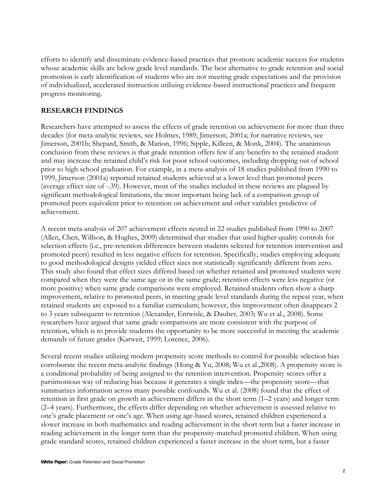efforts to identify and disseminate evidence-based practices that promote academic success for students whose academic skills are below grade level standards. The best alternative to grade retention and social promotion is early identification of students who are not meeting grade expectations and the provision of individualized, accelerated instruction utilizing evidence-based instructional practices and frequent progress monitoring.

#### **RESEARCH FINDINGS**

Researchers have attempted to assess the effects of grade retention on achievement for more than three decades (for meta-analytic reviews, see Holmes, 1989; Jimerson, 2001a; for narrative reviews, see Jimerson, 2001b; Shepard, Smith, & Marion, 1996; Sipple, Killeen, & Monk, 2004). The unanimous conclusion from these reviews is that grade retention offers few if any benefits to the retained student and may increase the retained child's risk for poor school outcomes, including dropping out of school prior to high school graduation. For example, in a meta-analysis of 18 studies published from 1990 to 1999, Jimerson (2001a) reported retained students achieved at a lower level than promoted peers (average effect size of -.39). However, most of the studies included in these reviews are plagued by significant methodological limitations, the most important being lack of a comparison group of promoted peers equivalent prior to retention on achievement and other variables predictive of achievement.

A recent meta-analysis of 207 achievement effects nested in 22 studies published from 1990 to 2007 (Allen, Chen, Willson, & Hughes, 2009) determined that studies that used higher quality controls for selection effects (i.e., pre-retention differences between students selected for retention intervention and promoted peers) resulted in less negative effects for retention. Specifically, studies employing adequate to good methodological designs yielded effect sizes not statistically significantly different from zero. This study also found that effect sizes differed based on whether retained and promoted students were compared when they were the same age or in the same grade; retention effects were less negative (or more positive) when same grade comparisons were employed. Retained students often show a sharp improvement, relative to promoted peers, in meeting grade level standards during the repeat year, when retained students are exposed to a familiar curriculum; however, this improvement often disappears 2 to 3 years subsequent to retention (Alexander, Entwisle, & Dauber, 2003; Wu et al., 2008). Some researchers have argued that same grade comparisons are more consistent with the purpose of retention, which is to provide students the opportunity to be more successful in meeting the academic demands of future grades (Karweit, 1999; Lorence, 2006).

Several recent studies utilizing modern propensity score methods to control for possible selection bias corroborate the recent meta-analytic findings (Hong & Yu, 2008; Wu et al.,2008). A propensity score is a conditional probability of being assigned to the retention intervention. Propensity scores offer a parsimonious way of reducing bias because it generates a single index—the propensity score—that summarizes information across many possible confounds. Wu et al. (2008) found that the effect of retention in first grade on growth in achievement differs in the short term (1–2 years) and longer term (2–4 years). Furthermore, the effects differ depending on whether achievement is assessed relative to one's grade placement or one's age. When using age-based scores, retained children experienced a slower increase in both mathematics and reading achievement in the short term but a faster increase in reading achievement in the longer term than the propensity-matched promoted children. When using grade standard scores, retained children experienced a faster increase in the short term, but a faster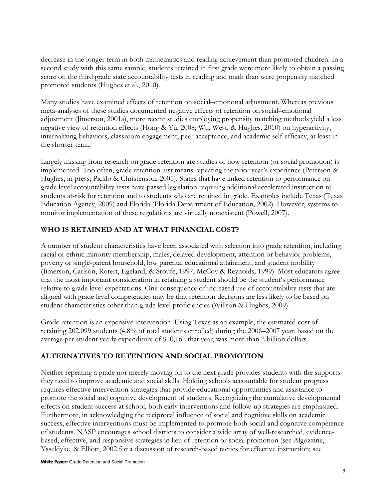decrease in the longer term in both mathematics and reading achievement than promoted children. In a second study with this same sample, students retained in first grade were more likely to obtain a passing score on the third grade state accountability tests in reading and math than were propensity matched promoted students (Hughes et al., 2010).

Many studies have examined effects of retention on social–emotional adjustment. Whereas previous meta-analyses of these studies documented negative effects of retention on social–emotional adjustment (Jimerson, 2001a), more recent studies employing propensity matching methods yield a less negative view of retention effects (Hong & Yu, 2008; Wu, West, & Hughes, 2010) on hyperactivity, internalizing behaviors, classroom engagement, peer acceptance, and academic self-efficacy, at least in the shorter-term.

Largely missing from research on grade retention are studies of how retention (or social promotion) is implemented. Too often, grade retention just means repeating the prior year's experience (Peterson & Hughes, in press; Picklo & Christenson, 2005). States that have linked retention to performance on grade level accountability tests have passed legislation requiring additional accelerated instruction to students at-risk for retention and to students who are retained in grade. Examples include Texas (Texas Education Agency, 2009) and Florida (Florida Department of Education, 2002). However, systems to monitor implementation of these regulations are virtually nonexistent (Powell, 2007).

## **WHO IS RETAINED AND AT WHAT FINANCIAL COST?**

A number of student characteristics have been associated with selection into grade retention, including racial or ethnic minority membership, males, delayed development, attention or behavior problems, poverty or single-parent household, low parental educational attainment, and student mobility (Jimerson, Carlson, Rotert, Egeland, & Sroufe, 1997; McCoy & Reynolds, 1999). Most educators agree that the most important consideration in retaining a student should be the student's performance relative to grade level expectations. One consequence of increased use of accountability tests that are aligned with grade level competencies may be that retention decisions are less likely to be based on student characteristics other than grade level proficiencies (Willson & Hughes, 2009).

Grade retention is an expensive intervention. Using Texas as an example, the estimated cost of retaining 202,099 students (4.8% of total students enrolled) during the 2006–2007 year, based on the average per student yearly expenditure of \$10,162 that year, was more than 2 billion dollars.

## **ALTERNATIVES TO RETENTION AND SOCIAL PROMOTION**

Neither repeating a grade nor merely moving on to the next grade provides students with the supports they need to improve academic and social skills. Holding schools accountable for student progress requires effective intervention strategies that provide educational opportunities and assistance to promote the social and cognitive development of students. Recognizing the cumulative developmental effects on student success at school, both early interventions and follow-up strategies are emphasized. Furthermore, in acknowledging the reciprocal influence of social and cognitive skills on academic success, effective interventions must be implemented to promote both social and cognitive competence of students. NASP encourages school districts to consider a wide array of well-researched, evidencebased, effective, and responsive strategies in lieu of retention or social promotion (see Algozzine, Ysseldyke, & Elliott, 2002 for a discussion of research-based tactics for effective instruction; see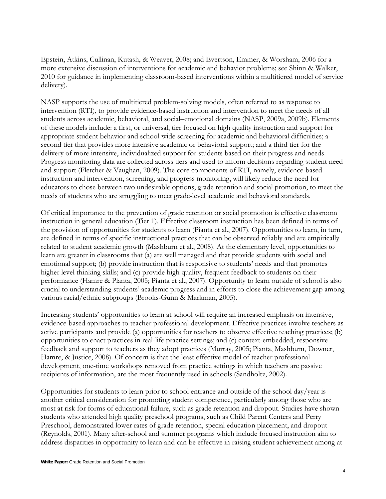Epstein, Atkins, Cullinan, Kutash, & Weaver, 2008; and Evertson, Emmer, & Worsham, 2006 for a more extensive discussion of interventions for academic and behavior problems; see Shinn & Walker, 2010 for guidance in implementing classroom-based interventions within a multitiered model of service delivery).

NASP supports the use of multitiered problem-solving models, often referred to as response to intervention (RTI), to provide evidence-based instruction and intervention to meet the needs of all students across academic, behavioral, and social–emotional domains (NASP, 2009a, 2009b). Elements of these models include: a first, or universal, tier focused on high quality instruction and support for appropriate student behavior and school-wide screening for academic and behavioral difficulties; a second tier that provides more intensive academic or behavioral support; and a third tier for the delivery of more intensive, individualized support for students based on their progress and needs. Progress monitoring data are collected across tiers and used to inform decisions regarding student need and support (Fletcher & Vaughan, 2009). The core components of RTI, namely, evidence-based instruction and intervention, screening, and progress monitoring, will likely reduce the need for educators to chose between two undesirable options, grade retention and social promotion, to meet the needs of students who are struggling to meet grade-level academic and behavioral standards.

Of critical importance to the prevention of grade retention or social promotion is effective classroom instruction in general education (Tier 1). Effective classroom instruction has been defined in terms of the provision of opportunities for students to learn (Pianta et al., 2007). Opportunities to learn, in turn, are defined in terms of specific instructional practices that can be observed reliably and are empirically related to student academic growth (Mashburn et al., 2008). At the elementary level, opportunities to learn are greater in classrooms that (a) are well managed and that provide students with social and emotional support; (b) provide instruction that is responsive to students' needs and that promotes higher level thinking skills; and (c) provide high quality, frequent feedback to students on their performance (Hamre & Pianta, 2005; Pianta et al., 2007). Opportunity to learn outside of school is also crucial to understanding students' academic progress and in efforts to close the achievement gap among various racial/ethnic subgroups (Brooks-Gunn & Markman, 2005).

Increasing students' opportunities to learn at school will require an increased emphasis on intensive, evidence-based approaches to teacher professional development. Effective practices involve teachers as active participants and provide (a) opportunities for teachers to observe effective teaching practices; (b) opportunities to enact practices in real-life practice settings; and (c) context-embedded, responsive feedback and support to teachers as they adopt practices (Murray, 2005; Pianta, Mashburn, Downer, Hamre, & Justice, 2008). Of concern is that the least effective model of teacher professional development, one-time workshops removed from practice settings in which teachers are passive recipients of information, are the most frequently used in schools (Sandholtz, 2002).

Opportunities for students to learn prior to school entrance and outside of the school day/year is another critical consideration for promoting student competence, particularly among those who are most at risk for forms of educational failure, such as grade retention and dropout. Studies have shown students who attended high quality preschool programs, such as Child Parent Centers and Perry Preschool, demonstrated lower rates of grade retention, special education placement, and dropout (Reynolds, 2001). Many after-school and summer programs which include focused instruction aim to address disparities in opportunity to learn and can be effective in raising student achievement among at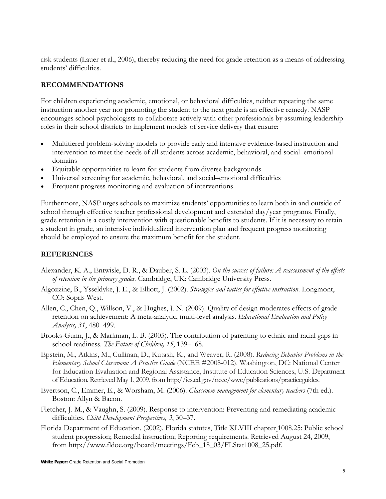risk students (Lauer et al., 2006), thereby reducing the need for grade retention as a means of addressing students' difficulties.

## **RECOMMENDATIONS**

For children experiencing academic, emotional, or behavioral difficulties, neither repeating the same instruction another year nor promoting the student to the next grade is an effective remedy. NASP encourages school psychologists to collaborate actively with other professionals by assuming leadership roles in their school districts to implement models of service delivery that ensure:

- Multitiered problem-solving models to provide early and intensive evidence-based instruction and intervention to meet the needs of all students across academic, behavioral, and social–emotional domains
- Equitable opportunities to learn for students from diverse backgrounds
- Universal screening for academic, behavioral, and social–emotional difficulties
- Frequent progress monitoring and evaluation of interventions

Furthermore, NASP urges schools to maximize students' opportunities to learn both in and outside of school through effective teacher professional development and extended day/year programs. Finally, grade retention is a costly intervention with questionable benefits to students. If it is necessary to retain a student in grade, an intensive individualized intervention plan and frequent progress monitoring should be employed to ensure the maximum benefit for the student.

#### **REFERENCES**

- Alexander, K. A., Entwisle, D. R., & Dauber, S. L. (2003). *On the success of failure: A reassessment of the effects of retention in the primary grades.* Cambridge, UK: Cambridge University Press.
- Algozzine, B., Ysseldyke, J. E., & Elliott, J. (2002). *Strategies and tactics for effective instruction*. Longmont, CO: Sopris West.
- Allen, C., Chen, Q., Willson, V., & Hughes, J. N. (2009). Quality of design moderates effects of grade retention on achievement: A meta-analytic, multi-level analysis. *Educational Evaluation and Policy Analysis, 31*, 480–499.
- Brooks-Gunn, J., & Markman, L. B. (2005). The contribution of parenting to ethnic and racial gaps in school readiness. *The Future of Children, 15*, 139–168.
- Epstein, M., Atkins, M., Cullinan, D., Kutash, K., and Weaver, R. (2008). *Reducing Behavior Problems in the Elementary School Classroom: A Practice Guide* (NCEE #2008-012). Washington, DC: National Center for Education Evaluation and Regional Assistance, Institute of Education Sciences, U.S. Department of Education. Retrieved May 1, 2009, from http://ies.ed.gov/ncee/wwc/publications/practiceguides.
- Evertson, C., Emmer, E., & Worsham, M. (2006). *Classroom management for elementary teachers* (7th ed.). Boston: Allyn & Bacon.
- Fletcher, J. M., & Vaughn, S. (2009). Response to intervention: Preventing and remediating academic difficulties. *Child Development Perspectives, 3*, 30–37.
- Florida Department of Education. (2002). Florida statutes, Title XLVIII chapter 1008.25: Public school student progression; Remedial instruction; Reporting requirements. Retrieved August 24, 2009, from http://www.fldoe.org/board/meetings/Feb\_18\_03/FLStat1008\_25.pdf.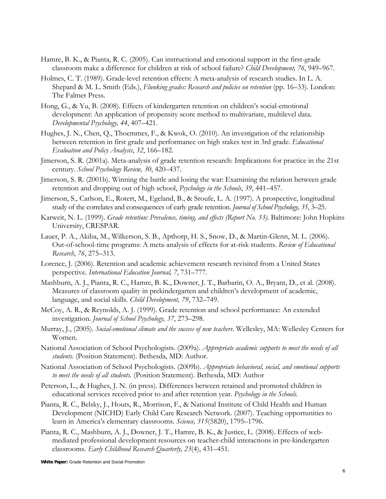- Hamre, B. K., & Pianta, R. C. (2005). Can instructional and emotional support in the first-grade classroom make a difference for children at risk of school failure? *Child Development, 76*, 949–967.
- Holmes, C. T. (1989). Grade-level retention effects: A meta-analysis of research studies. In L. A. Shepard & M. L. Smith (Eds.), *Flunking grades: Research and policies on retention* (pp. 16–33). London: The Falmer Press.
- Hong, G., & Yu, B. (2008). Effects of kindergarten retention on children's social-emotional development: An application of propensity score method to multivariate, multilevel data. *Developmental Psychology, 44*, 407–421.
- Hughes, J. N., Chen, Q., Thoemmes, F., & Kwok, O. (2010). An investigation of the relationship between retention in first grade and performance on high stakes test in 3rd grade. *Educational Evaluation and Policy Analysis*, *32*, 166–182.
- Jimerson, S. R. (2001a). Meta-analysis of grade retention research: Implications for practice in the 21st century. *School Psychology Review, 30*, 420–437.
- Jimerson, S. R. (2001b). Winning the battle and losing the war: Examining the relation between grade retention and dropping out of high school, *Psychology in the Schools*, *39*, 441–457.
- Jimerson, S., Carlson, E., Rotert, M., Egeland, B., & Sroufe, L. A. (1997). A prospective, longitudinal study of the correlates and consequences of early grade retention. *Journal of School Psychology, 35*, 3–25.
- Karweit, N. L. (1999). *Grade retention: Prevalence, timing, and effects (Report No. 33)*. Baltimore: John Hopkins University, CRESPAR.
- Lauer, P. A., Akiba, M., Wilkerson, S. B., Apthorp, H. S., Snow, D., & Martin-Glenn, M. L. (2006). Out-of-school-time programs: A meta-analysis of effects for at-risk students. *Review of Educational Research*, *76*, 275–313.
- Lorence, J. (2006). Retention and academic achievement research revisited from a United States perspective. *International Education Journal, 7*, 731–777.
- Mashburn, A. J., Pianta, R. C., Hamre, B. K., Downer, J. T., Barbarin, O. A., Bryant, D., et al. (2008). Measures of classroom quality in prekindergarten and children's development of academic, language, and social skills. *Child Development, 79*, 732–749.
- McCoy, A. R., & Reynolds, A. J. (1999). Grade retention and school performance: An extended investigation. *Journal of School Psychology, 37*, 273–298.
- Murray, J., (2005). *Social-emotional climate and the success of new teachers*. Wellesley, MA: Wellesley Centers for Women.
- National Association of School Psychologists. (2009a). *Appropriate academic supports to meet the needs of all students.* (Position Statement). Bethesda, MD: Author.
- National Association of School Psychologists. (2009b). *Appropriate behavioral, social, and emotional supports to meet the needs of all students.* (Position Statement). Bethesda, MD: Author
- Peterson, L., & Hughes, J. N. (in press). Differences between retained and promoted children in educational services received prior to and after retention year. *Psychology in the Schools.*
- Pianta, R. C., Belsky, J., Houts, R., Morrison, F., & National Institute of Child Health and Human Development (NICHD) Early Child Care Research Network. (2007). Teaching opportunities to learn in America's elementary classrooms. *Science, 315*(5820), 1795–1796.
- Pianta, R. C., Mashburn, A. J., Downer, J. T., Hamre, B. K., & Justice, L. (2008). Effects of webmediated professional development resources on teacher-child interactions in pre-kindergarten classrooms. *Early Childhood Research Quarterly, 23*(4), 431–451.